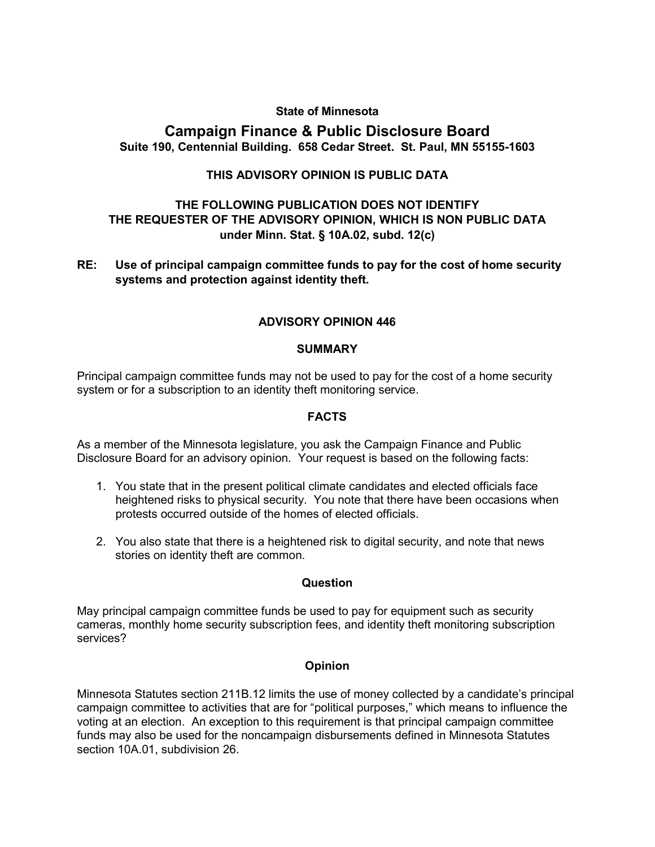## **State of Minnesota**

# **Campaign Finance & Public Disclosure Board Suite 190, Centennial Building. 658 Cedar Street. St. Paul, MN 55155-1603**

# **THIS ADVISORY OPINION IS PUBLIC DATA**

# **THE FOLLOWING PUBLICATION DOES NOT IDENTIFY THE REQUESTER OF THE ADVISORY OPINION, WHICH IS NON PUBLIC DATA under Minn. Stat. § 10A.02, subd. 12(c)**

**RE: Use of principal campaign committee funds to pay for the cost of home security systems and protection against identity theft.** 

## **ADVISORY OPINION 446**

#### **SUMMARY**

Principal campaign committee funds may not be used to pay for the cost of a home security system or for a subscription to an identity theft monitoring service.

#### **FACTS**

As a member of the Minnesota legislature, you ask the Campaign Finance and Public Disclosure Board for an advisory opinion. Your request is based on the following facts:

- 1. You state that in the present political climate candidates and elected officials face heightened risks to physical security. You note that there have been occasions when protests occurred outside of the homes of elected officials.
- 2. You also state that there is a heightened risk to digital security, and note that news stories on identity theft are common.

## **Question**

May principal campaign committee funds be used to pay for equipment such as security cameras, monthly home security subscription fees, and identity theft monitoring subscription services?

## **Opinion**

Minnesota Statutes section 211B.12 limits the use of money collected by a candidate's principal campaign committee to activities that are for "political purposes," which means to influence the voting at an election. An exception to this requirement is that principal campaign committee funds may also be used for the noncampaign disbursements defined in Minnesota Statutes section 10A.01, subdivision 26.